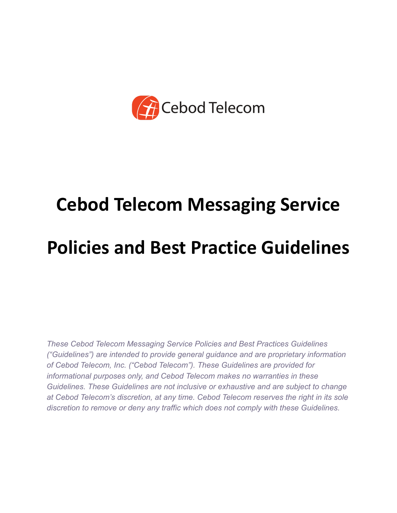

# **Cebod Telecom Messaging Service Policies and Best Practice Guidelines**

*These Cebod Telecom Messaging Service Policies and Best Practices Guidelines ("Guidelines") are intended to provide general guidance and are proprietary information of Cebod Telecom, Inc. ("Cebod Telecom"). These Guidelines are provided for informational purposes only, and Cebod Telecom makes no warranties in these Guidelines. These Guidelines are not inclusive or exhaustive and are subject to change at Cebod Telecom's discretion, at any time. Cebod Telecom reserves the right in its sole discretion to remove or deny any traffic which does not comply with these Guidelines.*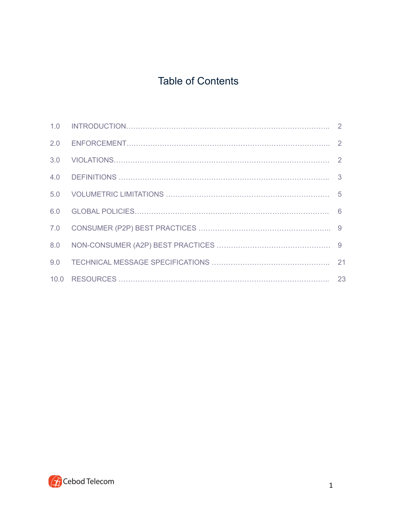# Table of Contents

| 2.0 |  |
|-----|--|
| 3.0 |  |
|     |  |
| 5.0 |  |
| 6.0 |  |
| 7.0 |  |
| 8.0 |  |
| 9.0 |  |
|     |  |

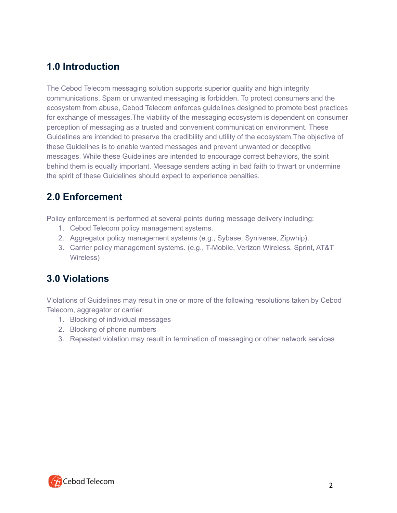# **1.0 Introduction**

The Cebod Telecom messaging solution supports superior quality and high integrity communications. Spam or unwanted messaging is forbidden. To protect consumers and the ecosystem from abuse, Cebod Telecom enforces guidelines designed to promote best practices for exchange of messages.The viability of the messaging ecosystem is dependent on consumer perception of messaging as a trusted and convenient communication environment. These Guidelines are intended to preserve the credibility and utility of the ecosystem.The objective of these Guidelines is to enable wanted messages and prevent unwanted or deceptive messages. While these Guidelines are intended to encourage correct behaviors, the spirit behind them is equally important. Message senders acting in bad faith to thwart or undermine the spirit of these Guidelines should expect to experience penalties.

# **2.0 Enforcement**

Policy enforcement is performed at several points during message delivery including:

- 1. Cebod Telecom policy management systems.
- 2. Aggregator policy management systems (e.g., Sybase, Syniverse, Zipwhip).
- 3. Carrier policy management systems. (e.g., T-Mobile, Verizon Wireless, Sprint, AT&T Wireless)

# **3.0 Violations**

Violations of Guidelines may result in one or more of the following resolutions taken by Cebod Telecom, aggregator or carrier:

- 1. Blocking of individual messages
- 2. Blocking of phone numbers
- 3. Repeated violation may result in termination of messaging or other network services

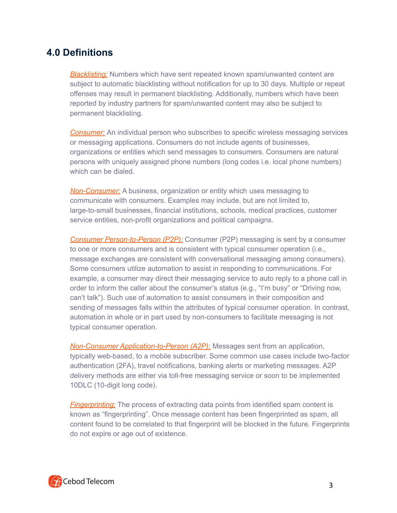# **4.0 Definitions**

*Blacklisting:* Numbers which have sent repeated known spam/unwanted content are subject to automatic blacklisting without notification for up to 30 days. Multiple or repeat offenses may result in permanent blacklisting. Additionally, numbers which have been reported by industry partners for spam/unwanted content may also be subject to permanent blacklisting.

**Consumer:** An individual person who subscribes to specific wireless messaging services or messaging applications. Consumers do not include agents of businesses, organizations or entities which send messages to consumers. Consumers are natural persons with uniquely assigned phone numbers (long codes i.e. local phone numbers) which can be dialed.

*Non-Consumer:* A business, organization or entity which uses messaging to communicate with consumers. Examples may include, but are not limited to, large-to-small businesses, financial institutions, schools, medical practices, customer service entities, non-profit organizations and political campaigns.

*Consumer Person-to-Person (P2P):* Consumer (P2P) messaging is sent by a consumer to one or more consumers and is consistent with typical consumer operation (i.e., message exchanges are consistent with conversational messaging among consumers). Some consumers utilize automation to assist in responding to communications. For example, a consumer may direct their messaging service to auto reply to a phone call in order to inform the caller about the consumer's status (e.g., "I'm busy" or "Driving now, can't talk"). Such use of automation to assist consumers in their composition and sending of messages falls within the attributes of typical consumer operation. In contrast, automation in whole or in part used by non-consumers to facilitate messaging is not typical consumer operation.

*Non-Consumer Application-to-Person (A2P):* Messages sent from an application, typically web-based, to a mobile subscriber. Some common use cases include two-factor authentication (2FA), travel notifications, banking alerts or marketing messages. A2P delivery methods are either via toll-free messaging service or soon to be implemented 10DLC (10-digit long code).

*Fingerprinting:* The process of extracting data points from identified spam content is known as "fingerprinting". Once message content has been fingerprinted as spam, all content found to be correlated to that fingerprint will be blocked in the future. Fingerprints do not expire or age out of existence.

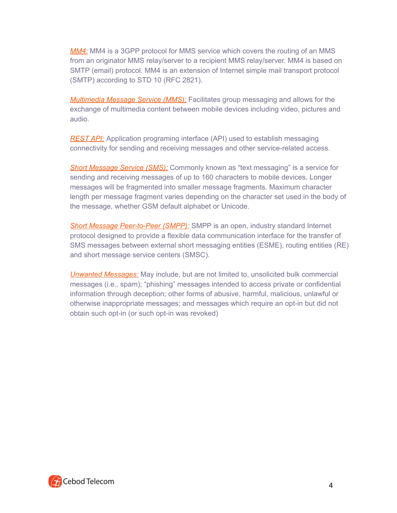*MM4:* MM4 is a 3GPP protocol for MMS service which covers the routing of an MMS from an originator MMS relay/server to a recipient MMS relay/server. MM4 is based on SMTP (email) protocol. MM4 is an extension of Internet simple mail transport protocol (SMTP) according to STD 10 (RFC 2821).

*Multimedia Message Service (MMS):* Facilitates group messaging and allows for the exchange of multimedia content between mobile devices including video, pictures and audio.

*REST API:* Application programing interface (API) used to establish messaging connectivity for sending and receiving messages and other service-related access.

**Short Message Service (SMS):** Commonly known as "text messaging" is a service for sending and receiving messages of up to 160 characters to mobile devices. Longer messages will be fragmented into smaller message fragments. Maximum character length per message fragment varies depending on the character set used in the body of the message, whether GSM default alphabet or Unicode.

*Short Message Peer-to-Peer (SMPP):* SMPP is an open, industry standard Internet protocol designed to provide a flexible data communication interface for the transfer of SMS messages between external short messaging entities (ESME), routing entities (RE) and short message service centers (SMSC).

*Unwanted Messages:* May include, but are not limited to, unsolicited bulk commercial messages (i.e., spam); "phishing" messages intended to access private or confidential information through deception; other forms of abusive, harmful, malicious, unlawful or otherwise inappropriate messages; and messages which require an opt-in but did not obtain such opt-in (or such opt-in was revoked)

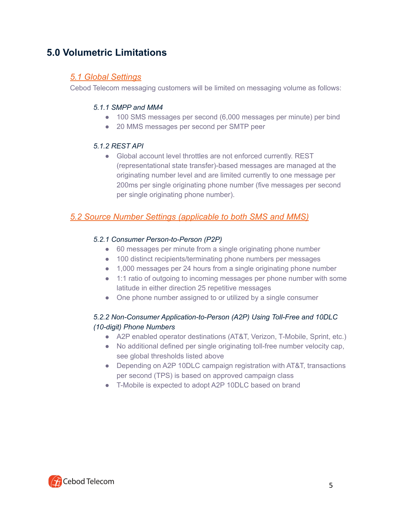# **5.0 Volumetric Limitations**

## *5.1 Global Settings*

Cebod Telecom messaging customers will be limited on messaging volume as follows:

#### *5.1.1 SMPP and MM4*

- 100 SMS messages per second (6,000 messages per minute) per bind
- 20 MMS messages per second per SMTP peer

#### *5.1.2 REST API*

• Global account level throttles are not enforced currently. REST (representational state transfer)-based messages are managed at the originating number level and are limited currently to one message per 200ms per single originating phone number (five messages per second per single originating phone number).

# *5.2 Source Number Settings (applicable to both SMS and MMS)*

#### *5.2.1 Consumer Person-to-Person (P2P)*

- 60 messages per minute from a single originating phone number
- 100 distinct recipients/terminating phone numbers per messages
- 1,000 messages per 24 hours from a single originating phone number
- 1:1 ratio of outgoing to incoming messages per phone number with some latitude in either direction 25 repetitive messages
- One phone number assigned to or utilized by a single consumer

## *5.2.2 Non-Consumer Application-to-Person (A2P) Using Toll-Free and 10DLC (10-digit) Phone Numbers*

- A2P enabled operator destinations (AT&T, Verizon, T-Mobile, Sprint, etc.)
- No additional defined per single originating toll-free number velocity cap, see global thresholds listed above
- Depending on A2P 10DLC campaign registration with AT&T, transactions per second (TPS) is based on approved campaign class
- T-Mobile is expected to adopt A2P 10DLC based on brand

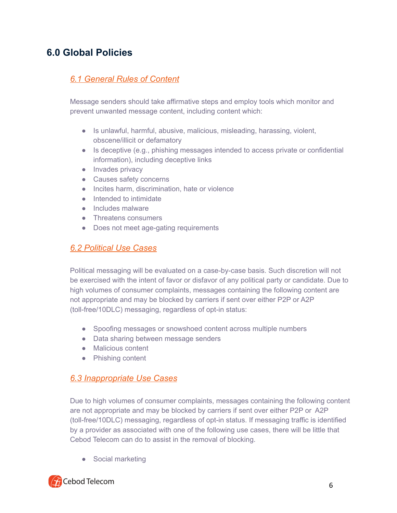# **6.0 Global Policies**

# *6.1 General Rules of Content*

Message senders should take affirmative steps and employ tools which monitor and prevent unwanted message content, including content which:

- Is unlawful, harmful, abusive, malicious, misleading, harassing, violent, obscene/illicit or defamatory
- Is deceptive (e.g., phishing messages intended to access private or confidential information), including deceptive links
- Invades privacy
- Causes safety concerns
- Incites harm, discrimination, hate or violence
- Intended to intimidate
- Includes malware
- Threatens consumers
- Does not meet age-gating requirements

## *6.2 Political Use Cases*

Political messaging will be evaluated on a case-by-case basis. Such discretion will not be exercised with the intent of favor or disfavor of any political party or candidate. Due to high volumes of consumer complaints, messages containing the following content are not appropriate and may be blocked by carriers if sent over either P2P or A2P (toll-free/10DLC) messaging, regardless of opt-in status:

- Spoofing messages or snowshoed content across multiple numbers
- Data sharing between message senders
- Malicious content
- Phishing content

#### *6.3 Inappropriate Use Cases*

Due to high volumes of consumer complaints, messages containing the following content are not appropriate and may be blocked by carriers if sent over either P2P or A2P (toll-free/10DLC) messaging, regardless of opt-in status. If messaging traffic is identified by a provider as associated with one of the following use cases, there will be little that Cebod Telecom can do to assist in the removal of blocking.

• Social marketing

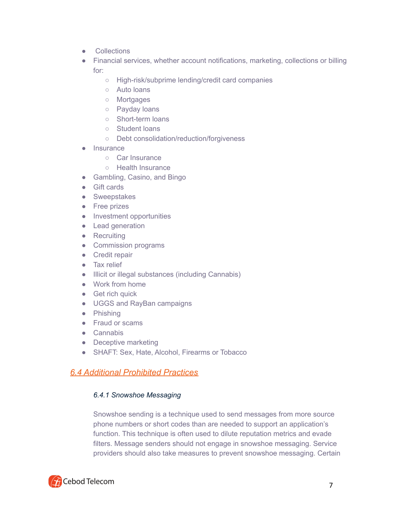- Collections
- Financial services, whether account notifications, marketing, collections or billing for:
	- High-risk/subprime lending/credit card companies
	- Auto loans
	- Mortgages
	- Payday loans
	- Short-term loans
	- Student loans
	- Debt consolidation/reduction/forgiveness
- Insurance
	- Car Insurance
	- Health Insurance
- Gambling, Casino, and Bingo
- Gift cards
- Sweepstakes
- Free prizes
- Investment opportunities
- Lead generation
- Recruiting
- Commission programs
- Credit repair
- Tax relief
- Illicit or illegal substances (including Cannabis)
- Work from home
- Get rich quick
- UGGS and RayBan campaigns
- Phishing
- Fraud or scams
- Cannabis
- Deceptive marketing
- SHAFT: Sex, Hate, Alcohol, Firearms or Tobacco

## *6.4 Additional Prohibited Practices*

#### *6.4.1 Snowshoe Messaging*

Snowshoe sending is a technique used to send messages from more source phone numbers or short codes than are needed to support an application's function. This technique is often used to dilute reputation metrics and evade filters. Message senders should not engage in snowshoe messaging. Service providers should also take measures to prevent snowshoe messaging. Certain

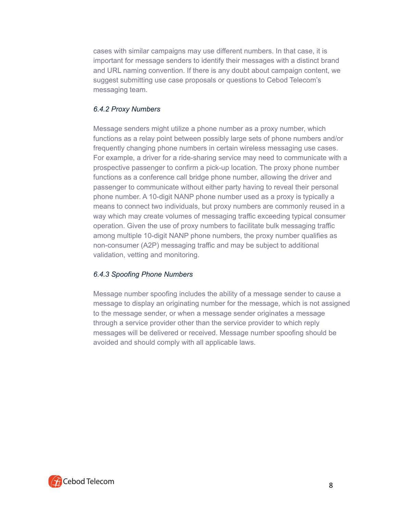cases with similar campaigns may use different numbers. In that case, it is important for message senders to identify their messages with a distinct brand and URL naming convention. If there is any doubt about campaign content, we suggest submitting use case proposals or questions to Cebod Telecom's messaging team.

#### *6.4.2 Proxy Numbers*

Message senders might utilize a phone number as a proxy number, which functions as a relay point between possibly large sets of phone numbers and/or frequently changing phone numbers in certain wireless messaging use cases. For example, a driver for a ride-sharing service may need to communicate with a prospective passenger to confirm a pick-up location. The proxy phone number functions as a conference call bridge phone number, allowing the driver and passenger to communicate without either party having to reveal their personal phone number. A 10-digit NANP phone number used as a proxy is typically a means to connect two individuals, but proxy numbers are commonly reused in a way which may create volumes of messaging traffic exceeding typical consumer operation. Given the use of proxy numbers to facilitate bulk messaging traffic among multiple 10-digit NANP phone numbers, the proxy number qualifies as non-consumer (A2P) messaging traffic and may be subject to additional validation, vetting and monitoring.

#### *6.4.3 Spoofing Phone Numbers*

Message number spoofing includes the ability of a message sender to cause a message to display an originating number for the message, which is not assigned to the message sender, or when a message sender originates a message through a service provider other than the service provider to which reply messages will be delivered or received. Message number spoofing should be avoided and should comply with all applicable laws.

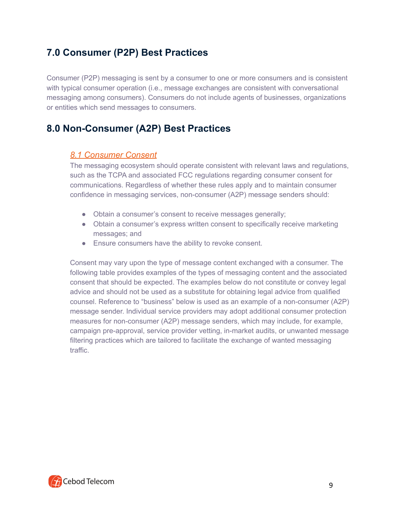# **7.0 Consumer (P2P) Best Practices**

Consumer (P2P) messaging is sent by a consumer to one or more consumers and is consistent with typical consumer operation (i.e., message exchanges are consistent with conversational messaging among consumers). Consumers do not include agents of businesses, organizations or entities which send messages to consumers.

# **8.0 Non-Consumer (A2P) Best Practices**

## *8.1 Consumer Consent*

The messaging ecosystem should operate consistent with relevant laws and regulations, such as the TCPA and associated FCC regulations regarding consumer consent for communications. Regardless of whether these rules apply and to maintain consumer confidence in messaging services, non-consumer (A2P) message senders should:

- Obtain a consumer's consent to receive messages generally;
- Obtain a consumer's express written consent to specifically receive marketing messages; and
- Ensure consumers have the ability to revoke consent.

Consent may vary upon the type of message content exchanged with a consumer. The following table provides examples of the types of messaging content and the associated consent that should be expected. The examples below do not constitute or convey legal advice and should not be used as a substitute for obtaining legal advice from qualified counsel. Reference to "business" below is used as an example of a non-consumer (A2P) message sender. Individual service providers may adopt additional consumer protection measures for non-consumer (A2P) message senders, which may include, for example, campaign pre-approval, service provider vetting, in-market audits, or unwanted message filtering practices which are tailored to facilitate the exchange of wanted messaging traffic.

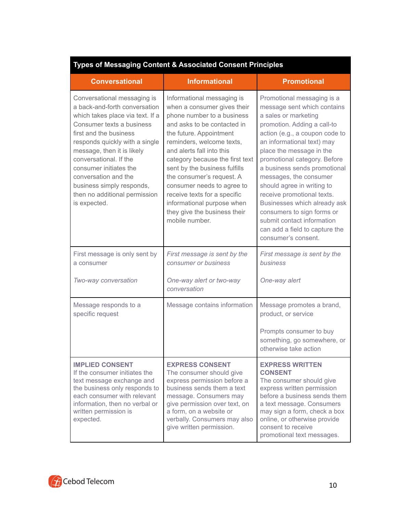| <b>Types of Messaging Content &amp; Associated Consent Principles</b>                                                                                                                                                                                                                                                                                                             |                                                                                                                                                                                                                                                                                                                                                                                                                                                            |                                                                                                                                                                                                                                                                                                                                                                                                                                                                                                                         |  |  |  |  |  |
|-----------------------------------------------------------------------------------------------------------------------------------------------------------------------------------------------------------------------------------------------------------------------------------------------------------------------------------------------------------------------------------|------------------------------------------------------------------------------------------------------------------------------------------------------------------------------------------------------------------------------------------------------------------------------------------------------------------------------------------------------------------------------------------------------------------------------------------------------------|-------------------------------------------------------------------------------------------------------------------------------------------------------------------------------------------------------------------------------------------------------------------------------------------------------------------------------------------------------------------------------------------------------------------------------------------------------------------------------------------------------------------------|--|--|--|--|--|
| <b>Conversational</b>                                                                                                                                                                                                                                                                                                                                                             | <b>Informational</b>                                                                                                                                                                                                                                                                                                                                                                                                                                       | <b>Promotional</b>                                                                                                                                                                                                                                                                                                                                                                                                                                                                                                      |  |  |  |  |  |
| Conversational messaging is<br>a back-and-forth conversation<br>which takes place via text. If a<br>Consumer texts a business<br>first and the business<br>responds quickly with a single<br>message, then it is likely<br>conversational. If the<br>consumer initiates the<br>conversation and the<br>business simply responds,<br>then no additional permission<br>is expected. | Informational messaging is<br>when a consumer gives their<br>phone number to a business<br>and asks to be contacted in<br>the future. Appointment<br>reminders, welcome texts,<br>and alerts fall into this<br>category because the first text<br>sent by the business fulfills<br>the consumer's request. A<br>consumer needs to agree to<br>receive texts for a specific<br>informational purpose when<br>they give the business their<br>mobile number. | Promotional messaging is a<br>message sent which contains<br>a sales or marketing<br>promotion. Adding a call-to<br>action (e.g., a coupon code to<br>an informational text) may<br>place the message in the<br>promotional category. Before<br>a business sends promotional<br>messages, the consumer<br>should agree in writing to<br>receive promotional texts.<br>Businesses which already ask<br>consumers to sign forms or<br>submit contact information<br>can add a field to capture the<br>consumer's consent. |  |  |  |  |  |
| First message is only sent by<br>a consumer                                                                                                                                                                                                                                                                                                                                       | First message is sent by the<br>consumer or business                                                                                                                                                                                                                                                                                                                                                                                                       | First message is sent by the<br>business                                                                                                                                                                                                                                                                                                                                                                                                                                                                                |  |  |  |  |  |
| Two-way conversation                                                                                                                                                                                                                                                                                                                                                              | One-way alert or two-way<br>conversation                                                                                                                                                                                                                                                                                                                                                                                                                   | One-way alert                                                                                                                                                                                                                                                                                                                                                                                                                                                                                                           |  |  |  |  |  |
| Message responds to a<br>specific request                                                                                                                                                                                                                                                                                                                                         | Message contains information                                                                                                                                                                                                                                                                                                                                                                                                                               | Message promotes a brand,<br>product, or service                                                                                                                                                                                                                                                                                                                                                                                                                                                                        |  |  |  |  |  |
|                                                                                                                                                                                                                                                                                                                                                                                   |                                                                                                                                                                                                                                                                                                                                                                                                                                                            | Prompts consumer to buy<br>something, go somewhere, or<br>otherwise take action                                                                                                                                                                                                                                                                                                                                                                                                                                         |  |  |  |  |  |
| <b>IMPLIED CONSENT</b><br>If the consumer initiates the<br>text message exchange and<br>the business only responds to<br>each consumer with relevant<br>information, then no verbal or<br>written permission is<br>expected.                                                                                                                                                      | <b>EXPRESS CONSENT</b><br>The consumer should give<br>express permission before a<br>business sends them a text<br>message. Consumers may<br>give permission over text, on<br>a form, on a website or<br>verbally. Consumers may also<br>give written permission.                                                                                                                                                                                          | <b>EXPRESS WRITTEN</b><br><b>CONSENT</b><br>The consumer should give<br>express written permission<br>before a business sends them<br>a text message. Consumers<br>may sign a form, check a box<br>online, or otherwise provide<br>consent to receive<br>promotional text messages.                                                                                                                                                                                                                                     |  |  |  |  |  |

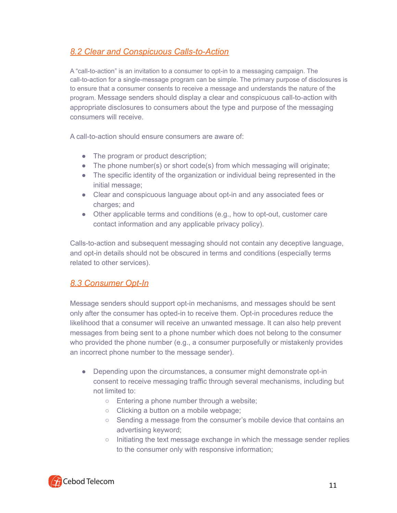# *8.2 Clear and Conspicuous Calls-to-Action*

A "call-to-action" is an invitation to a consumer to opt-in to a messaging campaign. The call-to-action for a single-message program can be simple. The primary purpose of disclosures is to ensure that a consumer consents to receive a message and understands the nature of the program. Message senders should display a clear and conspicuous call-to-action with appropriate disclosures to consumers about the type and purpose of the messaging consumers will receive.

A call-to-action should ensure consumers are aware of:

- The program or product description;
- The phone number(s) or short code(s) from which messaging will originate;
- The specific identity of the organization or individual being represented in the initial message;
- Clear and conspicuous language about opt-in and any associated fees or charges; and
- Other applicable terms and conditions (e.g., how to opt-out, customer care contact information and any applicable privacy policy).

Calls-to-action and subsequent messaging should not contain any deceptive language, and opt-in details should not be obscured in terms and conditions (especially terms related to other services).

# *8.3 Consumer Opt-In*

Message senders should support opt-in mechanisms, and messages should be sent only after the consumer has opted-in to receive them. Opt-in procedures reduce the likelihood that a consumer will receive an unwanted message. It can also help prevent messages from being sent to a phone number which does not belong to the consumer who provided the phone number (e.g., a consumer purposefully or mistakenly provides an incorrect phone number to the message sender).

- Depending upon the circumstances, a consumer might demonstrate opt-in consent to receive messaging traffic through several mechanisms, including but not limited to:
	- Entering a phone number through a website;
	- Clicking a button on a mobile webpage;
	- Sending a message from the consumer's mobile device that contains an advertising keyword;
	- Initiating the text message exchange in which the message sender replies to the consumer only with responsive information;

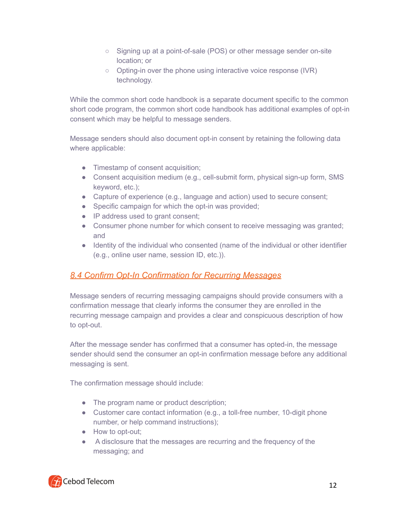- Signing up at a point-of-sale (POS) or other message sender on-site location; or
- Opting-in over the phone using interactive voice response (IVR) technology.

While the common short code handbook is a separate document specific to the common short code program, the common short code handbook has additional examples of opt-in consent which may be helpful to message senders.

Message senders should also document opt-in consent by retaining the following data where applicable:

- Timestamp of consent acquisition;
- Consent acquisition medium (e.g., cell-submit form, physical sign-up form, SMS keyword, etc.);
- Capture of experience (e.g., language and action) used to secure consent;
- Specific campaign for which the opt-in was provided;
- IP address used to grant consent;
- Consumer phone number for which consent to receive messaging was granted; and
- Identity of the individual who consented (name of the individual or other identifier (e.g., online user name, session ID, etc.)).

# *8.4 Confirm Opt-In Confirmation for Recurring Messages*

Message senders of recurring messaging campaigns should provide consumers with a confirmation message that clearly informs the consumer they are enrolled in the recurring message campaign and provides a clear and conspicuous description of how to opt-out.

After the message sender has confirmed that a consumer has opted-in, the message sender should send the consumer an opt-in confirmation message before any additional messaging is sent.

The confirmation message should include:

- The program name or product description;
- Customer care contact information (e.g., a toll-free number, 10-digit phone number, or help command instructions);
- How to opt-out;
- A disclosure that the messages are recurring and the frequency of the messaging; and

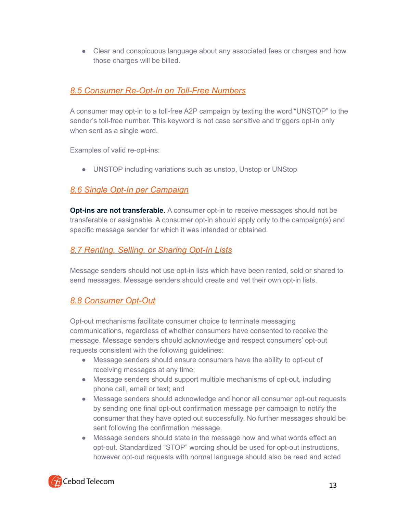• Clear and conspicuous language about any associated fees or charges and how those charges will be billed.

# *8.5 Consumer Re-Opt-In on Toll-Free Numbers*

A consumer may opt-in to a toll-free A2P campaign by texting the word "UNSTOP" to the sender's toll-free number. This keyword is not case sensitive and triggers opt-in only when sent as a single word.

Examples of valid re-opt-ins:

• UNSTOP including variations such as unstop, Unstop or UNStop

# *8.6 Single Opt-In per Campaign*

**Opt-ins are not transferable.** A consumer opt-in to receive messages should not be transferable or assignable. A consumer opt-in should apply only to the campaign(s) and specific message sender for which it was intended or obtained.

# *8.7 Renting, Selling, or Sharing Opt-In Lists*

Message senders should not use opt-in lists which have been rented, sold or shared to send messages. Message senders should create and vet their own opt-in lists.

# *8.8 Consumer Opt-Out*

Opt-out mechanisms facilitate consumer choice to terminate messaging communications, regardless of whether consumers have consented to receive the message. Message senders should acknowledge and respect consumers' opt-out requests consistent with the following guidelines:

- Message senders should ensure consumers have the ability to opt-out of receiving messages at any time;
- Message senders should support multiple mechanisms of opt-out, including phone call, email or text; and
- Message senders should acknowledge and honor all consumer opt-out requests by sending one final opt-out confirmation message per campaign to notify the consumer that they have opted out successfully. No further messages should be sent following the confirmation message.
- Message senders should state in the message how and what words effect an opt-out. Standardized "STOP" wording should be used for opt-out instructions, however opt-out requests with normal language should also be read and acted

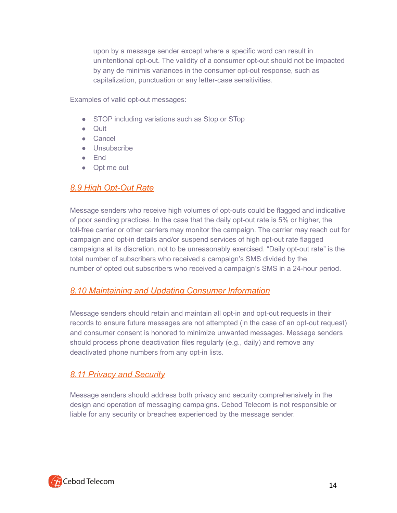upon by a message sender except where a specific word can result in unintentional opt-out. The validity of a consumer opt-out should not be impacted by any de minimis variances in the consumer opt-out response, such as capitalization, punctuation or any letter-case sensitivities.

Examples of valid opt-out messages:

- STOP including variations such as Stop or STop
- Quit
- Cancel
- Unsubscribe
- End
- Opt me out

# *8.9 High Opt-Out Rate*

Message senders who receive high volumes of opt-outs could be flagged and indicative of poor sending practices. In the case that the daily opt-out rate is 5% or higher, the toll-free carrier or other carriers may monitor the campaign. The carrier may reach out for campaign and opt-in details and/or suspend services of high opt-out rate flagged campaigns at its discretion, not to be unreasonably exercised. "Daily opt-out rate" is the total number of subscribers who received a campaign's SMS divided by the number of opted out subscribers who received a campaign's SMS in a 24-hour period.

## *8.10 Maintaining and Updating Consumer Information*

Message senders should retain and maintain all opt-in and opt-out requests in their records to ensure future messages are not attempted (in the case of an opt-out request) and consumer consent is honored to minimize unwanted messages. Message senders should process phone deactivation files regularly (e.g., daily) and remove any deactivated phone numbers from any opt-in lists.

# *8.11 Privacy and Security*

Message senders should address both privacy and security comprehensively in the design and operation of messaging campaigns. Cebod Telecom is not responsible or liable for any security or breaches experienced by the message sender.

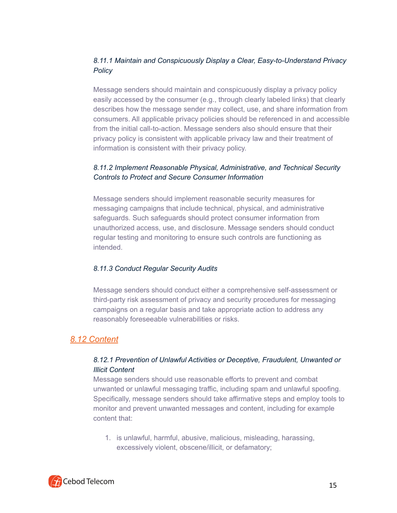## *8.11.1 Maintain and Conspicuously Display a Clear, Easy-to-Understand Privacy Policy*

Message senders should maintain and conspicuously display a privacy policy easily accessed by the consumer (e.g., through clearly labeled links) that clearly describes how the message sender may collect, use, and share information from consumers. All applicable privacy policies should be referenced in and accessible from the initial call-to-action. Message senders also should ensure that their privacy policy is consistent with applicable privacy law and their treatment of information is consistent with their privacy policy.

## *8.11.2 Implement Reasonable Physical, Administrative, and Technical Security Controls to Protect and Secure Consumer Information*

Message senders should implement reasonable security measures for messaging campaigns that include technical, physical, and administrative safeguards. Such safeguards should protect consumer information from unauthorized access, use, and disclosure. Message senders should conduct regular testing and monitoring to ensure such controls are functioning as intended.

#### *8.11.3 Conduct Regular Security Audits*

Message senders should conduct either a comprehensive self-assessment or third-party risk assessment of privacy and security procedures for messaging campaigns on a regular basis and take appropriate action to address any reasonably foreseeable vulnerabilities or risks.

# *8.12 Content*

## *8.12.1 Prevention of Unlawful Activities or Deceptive, Fraudulent, Unwanted or Illicit Content*

Message senders should use reasonable efforts to prevent and combat unwanted or unlawful messaging traffic, including spam and unlawful spoofing. Specifically, message senders should take affirmative steps and employ tools to monitor and prevent unwanted messages and content, including for example content that:

1. is unlawful, harmful, abusive, malicious, misleading, harassing, excessively violent, obscene/illicit, or defamatory;

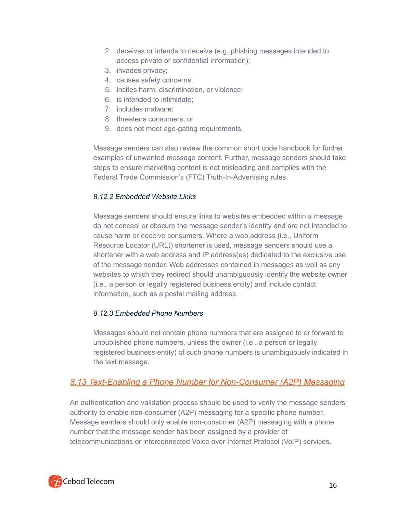- 2. deceives or intends to deceive (e.g.,phishing messages intended to access private or confidential information);
- 3. invades privacy;
- 4. causes safety concerns;
- 5. incites harm, discrimination, or violence;
- 6. is intended to intimidate;
- 7. includes malware;
- 8. threatens consumers; or
- 9. does not meet age-gating requirements.

Message senders can also review the common short code handbook for further examples of unwanted message content. Further, message senders should take steps to ensure marketing content is not misleading and complies with the Federal Trade Commission's (FTC) Truth-In-Advertising rules.

#### *8.12.2 Embedded Website Links*

Message senders should ensure links to websites embedded within a message do not conceal or obscure the message sender's identity and are not intended to cause harm or deceive consumers. Where a web address (i.e., Uniform Resource Locator (URL)) shortener is used, message senders should use a shortener with a web address and IP address(es) dedicated to the exclusive use of the message sender. Web addresses contained in messages as well as any websites to which they redirect should unambiguously identify the website owner (i.e., a person or legally registered business entity) and include contact information, such as a postal mailing address.

#### *8.12.3 Embedded Phone Numbers*

Messages should not contain phone numbers that are assigned to or forward to unpublished phone numbers, unless the owner (i.e., a person or legally registered business entity) of such phone numbers is unambiguously indicated in the text message.

# *8.13 Text-Enabling a Phone Number for Non-Consumer (A2P) Messaging*

An authentication and validation process should be used to verify the message senders' authority to enable non-consumer (A2P) messaging for a specific phone number. Message senders should only enable non-consumer (A2P) messaging with a phone number that the message sender has been assigned by a provider of telecommunications or interconnected Voice over Internet Protocol (VoIP) services.

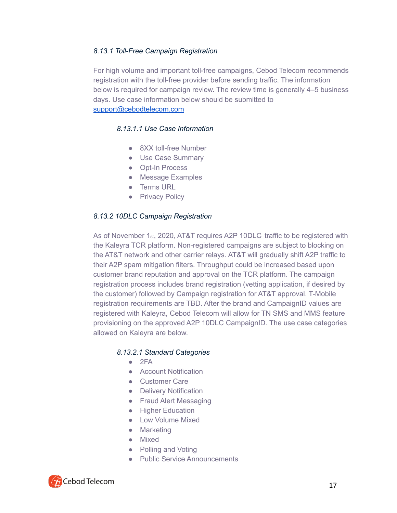#### *8.13.1 Toll-Free Campaign Registration*

For high volume and important toll-free campaigns, Cebod Telecom recommends registration with the toll-free provider before sending traffic. The information below is required for campaign review. The review time is generally 4–5 business days. Use case information below should be submitted to [support@cebodtelecom.com](mailto:support@cebodtelecom.com)

#### *8.13.1.1 Use Case Information*

- 8XX toll-free Number
- Use Case Summary
- Opt-In Process
- Message Examples
- Terms URL
- **Privacy Policy**

#### *8.13.2 10DLC Campaign Registration*

As of November 1st, 2020, AT&T requires A2P 10DLC traffic to be registered with the Kaleyra TCR platform. Non-registered campaigns are subject to blocking on the AT&T network and other carrier relays. AT&T will gradually shift A2P traffic to their A2P spam mitigation filters. Throughput could be increased based upon customer brand reputation and approval on the TCR platform. The campaign registration process includes brand registration (vetting application, if desired by the customer) followed by Campaign registration for AT&T approval. T-Mobile registration requirements are TBD. After the brand and CampaignID values are registered with Kaleyra, Cebod Telecom will allow for TN SMS and MMS feature provisioning on the approved A2P 10DLC CampaignID. The use case categories allowed on Kaleyra are below.

#### *8.13.2.1 Standard Categories*

- $\bullet$  2FA
- Account Notification
- Customer Care
- Delivery Notification
- Fraud Alert Messaging
- Higher Education
- Low Volume Mixed
- Marketing
- Mixed
- Polling and Voting
- Public Service Announcements

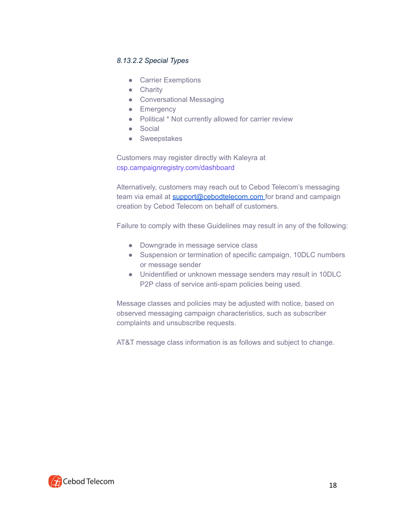#### *8.13.2.2 Special Types*

- Carrier Exemptions
- Charity
- Conversational Messaging
- Emergency
- Political \* Not currently allowed for carrier review
- Social
- Sweepstakes

Customers may register directly with Kaleyra at csp.campaignregistry.com/dashboard

Alternatively, customers may reach out to Cebod Telecom's messaging team via email at [support@cebodtelecom.com](mailto:support@cebodtelecom.com) for brand and campaign creation by Cebod Telecom on behalf of customers.

Failure to comply with these Guidelines may result in any of the following:

- Downgrade in message service class
- Suspension or termination of specific campaign, 10DLC numbers or message sender
- Unidentified or unknown message senders may result in 10DLC P2P class of service anti-spam policies being used.

Message classes and policies may be adjusted with notice, based on observed messaging campaign characteristics, such as subscriber complaints and unsubscribe requests.

AT&T message class information is as follows and subject to change.

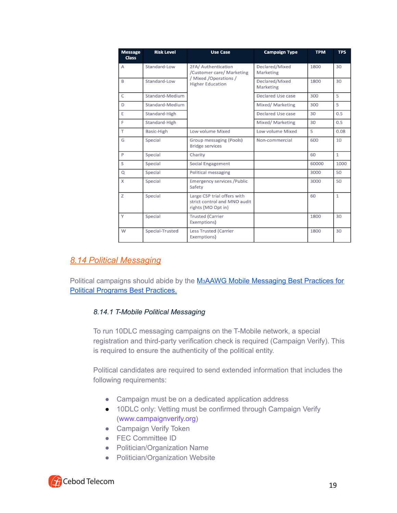| <b>Message</b><br><b>Class</b> | <b>Risk Level</b> | <b>Use Case</b>                                                                                       | <b>Campaign Type</b>        | <b>TPM</b> | <b>TPS</b>   |
|--------------------------------|-------------------|-------------------------------------------------------------------------------------------------------|-----------------------------|------------|--------------|
| A                              | Standard-Low      | 2FA/ Authentication<br>/Customer care/ Marketing<br>/ Mixed / Operations /<br><b>Higher Education</b> | Declared/Mixed<br>Marketing | 1800       | 30           |
| B                              | Standard-Low      |                                                                                                       | Declared/Mixed<br>Marketing | 1800       | 30           |
| $\mathsf{C}$                   | Standard-Medium   |                                                                                                       | Declared Use case           | 300        | 5            |
| D                              | Standard-Medium   |                                                                                                       | Mixed/ Marketing            | 300        | 5            |
| E                              | Standard-High     |                                                                                                       | Declared Use case           | 30         | 0.5          |
| E                              | Standard-High     |                                                                                                       | Mixed/ Marketing            | 30         | 0.5          |
| T.                             | Basic-High        | Low volume Mixed                                                                                      | Low volume Mixed            | 5          | 0.08         |
| G                              | Special           | Group messaging (Pools)<br><b>Bridge services</b>                                                     | Non-commercial              | 600        | 10           |
| P                              | Special           | Charity                                                                                               |                             | 60         | $\mathbf{1}$ |
| S                              | Special           | <b>Social Engagement</b>                                                                              |                             | 60000      | 1000         |
| Q                              | Special           | Political messaging                                                                                   |                             | 3000       | 50           |
| X                              | Special           | <b>Emergency services / Public</b><br>Safety                                                          |                             | 3000       | 50           |
| Z                              | Special           | Large CSP trial offers with<br>strict control and MNO audit<br>rights (MO Opt in)                     |                             | 60         | $\mathbf{1}$ |
| Y                              | Special           | <b>Trusted (Carrier</b><br>Exemptions)                                                                |                             | 1800       | 30           |
| W                              | Special-Trusted   | <b>Less Trusted (Carrier</b><br>Exemptions)                                                           |                             | 1800       | 30           |

# *8.14 Political Messaging*

Political campaigns should abide by the M<sub>3</sub>AAWG Mobile [Messaging](https://www.m3aawg.org/sites/default/files/m3aawg-mobile-messaging-bcp-political-programs-US-2020-04.pdf) Best Practices for Political Programs Best [Practices.](https://www.m3aawg.org/sites/default/files/m3aawg-mobile-messaging-bcp-political-programs-US-2020-04.pdf)

#### *8.14.1 T-Mobile Political Messaging*

To run 10DLC messaging campaigns on the T-Mobile network, a special registration and third-party verification check is required (Campaign Verify). This is required to ensure the authenticity of the political entity.

Political candidates are required to send extended information that includes the following requirements:

- Campaign must be on a dedicated application address
- 10DLC only: Vetting must be confirmed through Campaign Verify (www.campaignverify.org)
- Campaign Verify Token
- FEC Committee ID
- Politician/Organization Name
- Politician/Organization Website

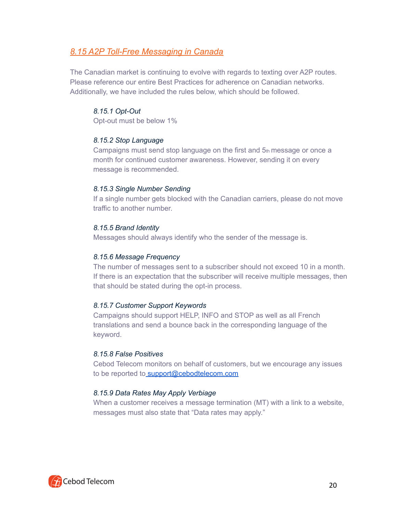# *8.15 A2P Toll-Free Messaging in Canada*

The Canadian market is continuing to evolve with regards to texting over A2P routes. Please reference our entire Best Practices for adherence on Canadian networks. Additionally, we have included the rules below, which should be followed.

#### *8.15.1 Opt-Out*

Opt-out must be below 1%

#### *8.15.2 Stop Language*

Campaigns must send stop language on the first and 5th message or once a month for continued customer awareness. However, sending it on every message is recommended.

#### *8.15.3 Single Number Sending*

If a single number gets blocked with the Canadian carriers, please do not move traffic to another number.

#### *8.15.5 Brand Identity*

Messages should always identify who the sender of the message is.

#### *8.15.6 Message Frequency*

The number of messages sent to a subscriber should not exceed 10 in a month. If there is an expectation that the subscriber will receive multiple messages, then that should be stated during the opt-in process.

#### *8.15.7 Customer Support Keywords*

Campaigns should support HELP, INFO and STOP as well as all French translations and send a bounce back in the corresponding language of the keyword.

#### *8.15.8 False Positives*

Cebod Telecom monitors on behalf of customers, but we encourage any issues to be reported to [support@cebodtelecom.com](mailto:support@cebodtelecom.com)

#### *8.15.9 Data Rates May Apply Verbiage*

When a customer receives a message termination (MT) with a link to a website, messages must also state that "Data rates may apply."

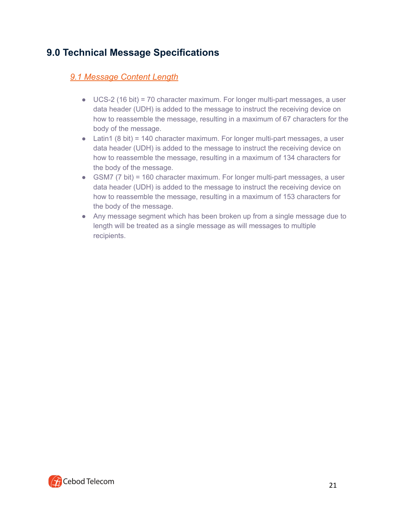# **9.0 Technical Message Specifications**

# *9.1 Message Content Length*

- UCS-2 (16 bit) = 70 character maximum. For longer multi-part messages, a user data header (UDH) is added to the message to instruct the receiving device on how to reassemble the message, resulting in a maximum of 67 characters for the body of the message.
- Latin1 (8 bit) = 140 character maximum. For longer multi-part messages, a user data header (UDH) is added to the message to instruct the receiving device on how to reassemble the message, resulting in a maximum of 134 characters for the body of the message.
- GSM7 (7 bit) = 160 character maximum. For longer multi-part messages, a user data header (UDH) is added to the message to instruct the receiving device on how to reassemble the message, resulting in a maximum of 153 characters for the body of the message.
- Any message segment which has been broken up from a single message due to length will be treated as a single message as will messages to multiple recipients.

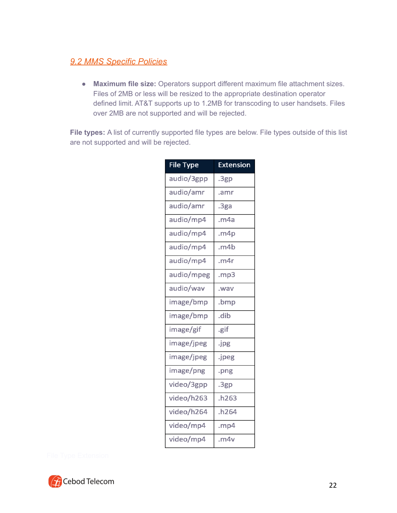# *9.2 MMS Specific Policies*

● **Maximum file size:** Operators support different maximum file attachment sizes. Files of 2MB or less will be resized to the appropriate destination operator defined limit. AT&T supports up to 1.2MB for transcoding to user handsets. Files over 2MB are not supported and will be rejected.

**File types:** A list of currently supported file types are below. File types outside of this list are not supported and will be rejected.

| <b>File Type</b> | <b>Extension</b> |
|------------------|------------------|
| audio/3gpp       | .3gp             |
| audio/amr        | .amr             |
| audio/amr        | .3ga             |
| audio/mp4        | .m4a             |
| audio/mp4        | .m4p             |
| audio/mp4        | .m4b             |
| audio/mp4        | .m4r             |
| audio/mpeg       | .mp3             |
| audio/wav        | .wav             |
| image/bmp        | .bmp             |
| image/bmp        | .dib             |
| image/gif        | .gif             |
| image/jpeg       | .jpg             |
| image/jpeg       | .jpeg            |
| image/png        | .png             |
| video/3gpp       | .3gp             |
| video/h263       | .h263            |
| video/h264       | .h264            |
| video/mp4        | .mp4             |
| video/mp4        | .m4v             |